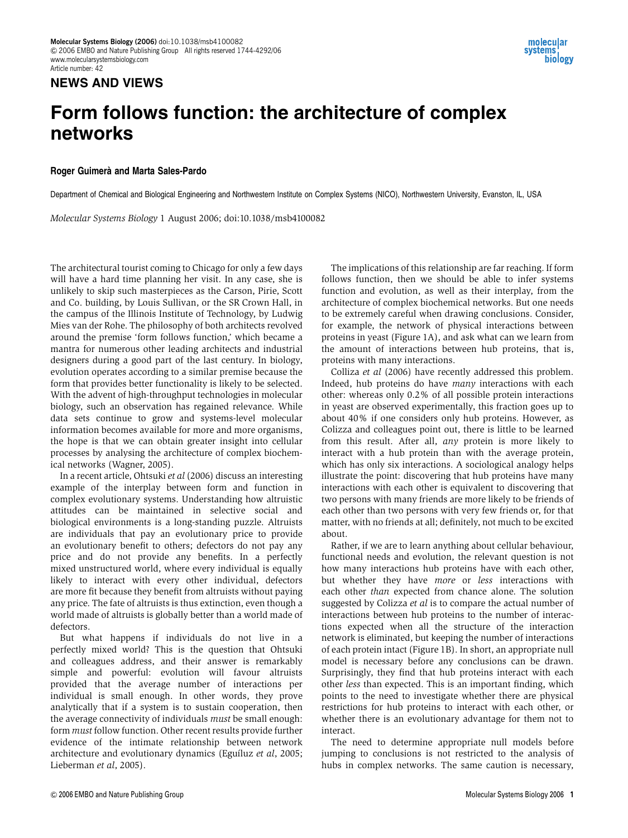molecular **systems** biology

## NEWS AND VIEWS

## Form follows function: the architecture of complex networks

## Roger Guimerà and Marta Sales-Pardo

Department of Chemical and Biological Engineering and Northwestern Institute on Complex Systems (NICO), Northwestern University, Evanston, IL, USA

Molecular Systems Biology 1 August 2006; doi:10.1038/msb4100082

The architectural tourist coming to Chicago for only a few days will have a hard time planning her visit. In any case, she is unlikely to skip such masterpieces as the Carson, Pirie, Scott and Co. building, by Louis Sullivan, or the SR Crown Hall, in the campus of the Illinois Institute of Technology, by Ludwig Mies van der Rohe. The philosophy of both architects revolved around the premise 'form follows function,' which became a mantra for numerous other leading architects and industrial designers during a good part of the last century. In biology, evolution operates according to a similar premise because the form that provides better functionality is likely to be selected. With the advent of high-throughput technologies in molecular biology, such an observation has regained relevance. While data sets continue to grow and systems-level molecular information becomes available for more and more organisms, the hope is that we can obtain greater insight into cellular processes by analysing the architecture of complex biochemical networks (Wagner, 2005).

In a recent article, Ohtsuki et al (2006) discuss an interesting example of the interplay between form and function in complex evolutionary systems. Understanding how altruistic attitudes can be maintained in selective social and biological environments is a long-standing puzzle. Altruists are individuals that pay an evolutionary price to provide an evolutionary benefit to others; defectors do not pay any price and do not provide any benefits. In a perfectly mixed unstructured world, where every individual is equally likely to interact with every other individual, defectors are more fit because they benefit from altruists without paying any price. The fate of altruists is thus extinction, even though a world made of altruists is globally better than a world made of defectors.

But what happens if individuals do not live in a perfectly mixed world? This is the question that Ohtsuki and colleagues address, and their answer is remarkably simple and powerful: evolution will favour altruists provided that the average number of interactions per individual is small enough. In other words, they prove analytically that if a system is to sustain cooperation, then the average connectivity of individuals must be small enough: form must follow function. Other recent results provide further evidence of the intimate relationship between network architecture and evolutionary dynamics (Eguíluz et al, 2005; Lieberman et al, 2005).

The implications of this relationship are far reaching. If form follows function, then we should be able to infer systems function and evolution, as well as their interplay, from the architecture of complex biochemical networks. But one needs to be extremely careful when drawing conclusions. Consider, for example, the network of physical interactions between proteins in yeast (Figure 1A), and ask what can we learn from the amount of interactions between hub proteins, that is, proteins with many interactions.

Colliza et al (2006) have recently addressed this problem. Indeed, hub proteins do have many interactions with each other: whereas only 0.2% of all possible protein interactions in yeast are observed experimentally, this fraction goes up to about 40% if one considers only hub proteins. However, as Colizza and colleagues point out, there is little to be learned from this result. After all, any protein is more likely to interact with a hub protein than with the average protein, which has only six interactions. A sociological analogy helps illustrate the point: discovering that hub proteins have many interactions with each other is equivalent to discovering that two persons with many friends are more likely to be friends of each other than two persons with very few friends or, for that matter, with no friends at all; definitely, not much to be excited about.

Rather, if we are to learn anything about cellular behaviour, functional needs and evolution, the relevant question is not how many interactions hub proteins have with each other, but whether they have more or less interactions with each other than expected from chance alone. The solution suggested by Colizza et al is to compare the actual number of interactions between hub proteins to the number of interactions expected when all the structure of the interaction network is eliminated, but keeping the number of interactions of each protein intact (Figure 1B). In short, an appropriate null model is necessary before any conclusions can be drawn. Surprisingly, they find that hub proteins interact with each other less than expected. This is an important finding, which points to the need to investigate whether there are physical restrictions for hub proteins to interact with each other, or whether there is an evolutionary advantage for them not to interact.

The need to determine appropriate null models before jumping to conclusions is not restricted to the analysis of hubs in complex networks. The same caution is necessary,